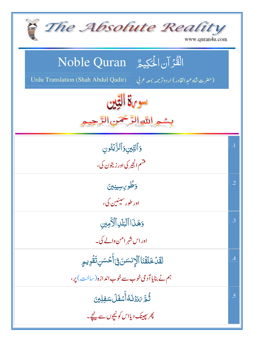| The Absolute Reality<br>www.quran4u.com                                                                                          |            |
|----------------------------------------------------------------------------------------------------------------------------------|------------|
| الْقُرْآنِ الْحَكِيمُ ِ Noble Quran<br>Urdu Translation (Shah Abdul Qadir)<br>(حضرت شاه عبد القادر) اردوتر <i>جمه بمعه ع</i> ربي |            |
| سو 6% التِّين<br>بِسْمِ اللَّهِ الرَّحْمَنِ الرَّ                                                                                |            |
| <u>وَٱلتِّينِ وَٱلزَّيۡتُونِ</u><br>فشم انجیر کی اور زیتون کی،                                                                   | $\cdot$ 1  |
| وَطُويِسِينِينَ<br>اور طور سينين کې،                                                                                             | $\cdot$ .2 |
| وَهَذَا ٱلْبَلَدِ ٱلْأَمِينِ<br>اور اس شہر امن والے کی۔                                                                          | .3         |
| لَقَلْ خَلَقَْنَا ٱلْإِنسَنَ فِىٓ أَحۡسَنِ تَقۡوِيهِ<br>ہم نے بنایا آدمی خوب سے خوب اندازہ (ساخت) پر،                            | .4         |
| ؿؙ <sub>ؖڟۜ</sub> ؆ؘۮؘۮٮٞڷٵٞ <i>ۺٙڡ۫</i> ٙڶۺڣؚڸڹڽ<br>پھر بیبینک دیااس کو نیچوں سے <u>نی</u> جے۔                                  | .5         |